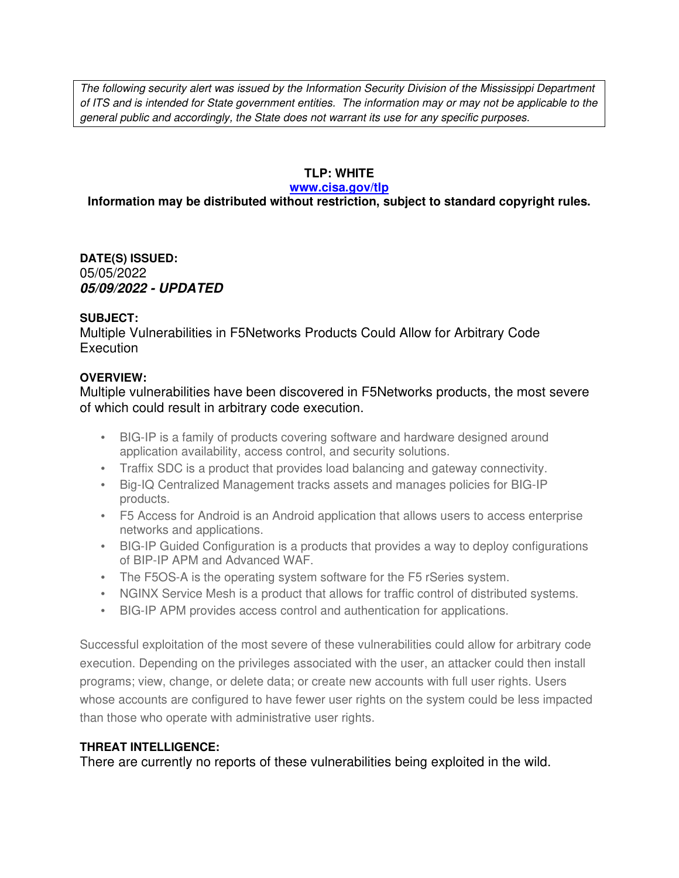*The following security alert was issued by the Information Security Division of the Mississippi Department of ITS and is intended for State government entities. The information may or may not be applicable to the general public and accordingly, the State does not warrant its use for any specific purposes.* 

## **TLP: WHITE**

### **www.cisa.gov/tlp**

# **Information may be distributed without restriction, subject to standard copyright rules.**

**DATE(S) ISSUED:** 05/05/2022 *05/09/2022 - UPDATED*

## **SUBJECT:**

Multiple Vulnerabilities in F5Networks Products Could Allow for Arbitrary Code **Execution** 

## **OVERVIEW:**

Multiple vulnerabilities have been discovered in F5Networks products, the most severe of which could result in arbitrary code execution.

- BIG-IP is a family of products covering software and hardware designed around application availability, access control, and security solutions.
- Traffix SDC is a product that provides load balancing and gateway connectivity.
- Big-IQ Centralized Management tracks assets and manages policies for BIG-IP products.
- F5 Access for Android is an Android application that allows users to access enterprise networks and applications.
- BIG-IP Guided Configuration is a products that provides a way to deploy configurations of BIP-IP APM and Advanced WAF.
- The F5OS-A is the operating system software for the F5 rSeries system.
- NGINX Service Mesh is a product that allows for traffic control of distributed systems.
- BIG-IP APM provides access control and authentication for applications.

Successful exploitation of the most severe of these vulnerabilities could allow for arbitrary code execution. Depending on the privileges associated with the user, an attacker could then install programs; view, change, or delete data; or create new accounts with full user rights. Users whose accounts are configured to have fewer user rights on the system could be less impacted than those who operate with administrative user rights.

# **THREAT INTELLIGENCE:**

There are currently no reports of these vulnerabilities being exploited in the wild.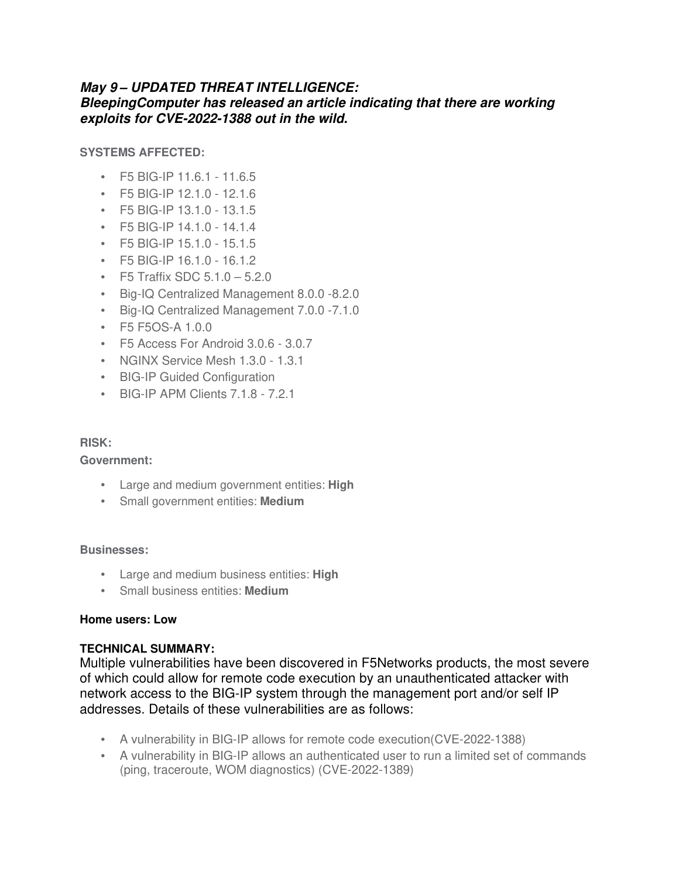# *May 9 – UPDATED THREAT INTELLIGENCE:*

# *BleepingComputer has released an article indicating that there are working exploits for CVE-2022-1388 out in the wild.*

**SYSTEMS AFFECTED:**

- F5 BIG-IP 11.6.1 11.6.5
- F5 BIG-IP 12.1.0 12.1.6
- F5 BIG-IP 13.1.0 13.1.5
- F5 BIG-IP 14.1.0 14.1.4
- F5 BIG-IP 15.1.0 15.1.5
- F5 BIG-IP 16.1.0 16.1.2
- F5 Traffix SDC  $5.1.0 5.2.0$
- Big-IQ Centralized Management 8.0.0 -8.2.0
- Big-IQ Centralized Management 7.0.0 -7.1.0
- F5 F5OS-A 1.0.0
- F5 Access For Android 3.0.6 3.0.7
- NGINX Service Mesh 1.3.0 1.3.1
- BIG-IP Guided Configuration
- BIG-IP APM Clients 7.1.8 7.2.1

### **RISK:**

**Government:**

- Large and medium government entities: **High**
- Small government entities: **Medium**

#### **Businesses:**

- Large and medium business entities: **High**
- Small business entities: **Medium**

#### **Home users: Low**

### **TECHNICAL SUMMARY:**

Multiple vulnerabilities have been discovered in F5Networks products, the most severe of which could allow for remote code execution by an unauthenticated attacker with network access to the BIG-IP system through the management port and/or self IP addresses. Details of these vulnerabilities are as follows:

- A vulnerability in BIG-IP allows for remote code execution(CVE-2022-1388)
- A vulnerability in BIG-IP allows an authenticated user to run a limited set of commands (ping, traceroute, WOM diagnostics) (CVE-2022-1389)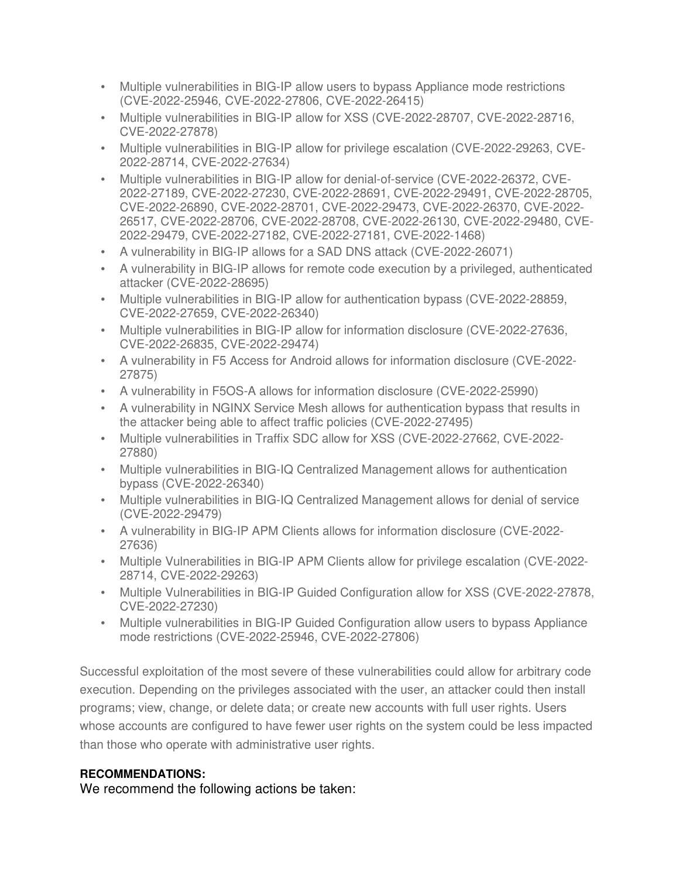- Multiple vulnerabilities in BIG-IP allow users to bypass Appliance mode restrictions (CVE-2022-25946, CVE-2022-27806, CVE-2022-26415)
- Multiple vulnerabilities in BIG-IP allow for XSS (CVE-2022-28707, CVE-2022-28716, CVE-2022-27878)
- Multiple vulnerabilities in BIG-IP allow for privilege escalation (CVE-2022-29263, CVE-2022-28714, CVE-2022-27634)
- Multiple vulnerabilities in BIG-IP allow for denial-of-service (CVE-2022-26372, CVE-2022-27189, CVE-2022-27230, CVE-2022-28691, CVE-2022-29491, CVE-2022-28705, CVE-2022-26890, CVE-2022-28701, CVE-2022-29473, CVE-2022-26370, CVE-2022- 26517, CVE-2022-28706, CVE-2022-28708, CVE-2022-26130, CVE-2022-29480, CVE-2022-29479, CVE-2022-27182, CVE-2022-27181, CVE-2022-1468)
- A vulnerability in BIG-IP allows for a SAD DNS attack (CVE-2022-26071)
- A vulnerability in BIG-IP allows for remote code execution by a privileged, authenticated attacker (CVE-2022-28695)
- Multiple vulnerabilities in BIG-IP allow for authentication bypass (CVE-2022-28859, CVE-2022-27659, CVE-2022-26340)
- Multiple vulnerabilities in BIG-IP allow for information disclosure (CVE-2022-27636, CVE-2022-26835, CVE-2022-29474)
- A vulnerability in F5 Access for Android allows for information disclosure (CVE-2022- 27875)
- A vulnerability in F5OS-A allows for information disclosure (CVE-2022-25990)
- A vulnerability in NGINX Service Mesh allows for authentication bypass that results in the attacker being able to affect traffic policies (CVE-2022-27495)
- Multiple vulnerabilities in Traffix SDC allow for XSS (CVE-2022-27662, CVE-2022- 27880)
- Multiple vulnerabilities in BIG-IQ Centralized Management allows for authentication bypass (CVE-2022-26340)
- Multiple vulnerabilities in BIG-IQ Centralized Management allows for denial of service (CVE-2022-29479)
- A vulnerability in BIG-IP APM Clients allows for information disclosure (CVE-2022- 27636)
- Multiple Vulnerabilities in BIG-IP APM Clients allow for privilege escalation (CVE-2022- 28714, CVE-2022-29263)
- Multiple Vulnerabilities in BIG-IP Guided Configuration allow for XSS (CVE-2022-27878, CVE-2022-27230)
- Multiple vulnerabilities in BIG-IP Guided Configuration allow users to bypass Appliance mode restrictions (CVE-2022-25946, CVE-2022-27806)

Successful exploitation of the most severe of these vulnerabilities could allow for arbitrary code execution. Depending on the privileges associated with the user, an attacker could then install programs; view, change, or delete data; or create new accounts with full user rights. Users whose accounts are configured to have fewer user rights on the system could be less impacted than those who operate with administrative user rights.

# **RECOMMENDATIONS:**

We recommend the following actions be taken: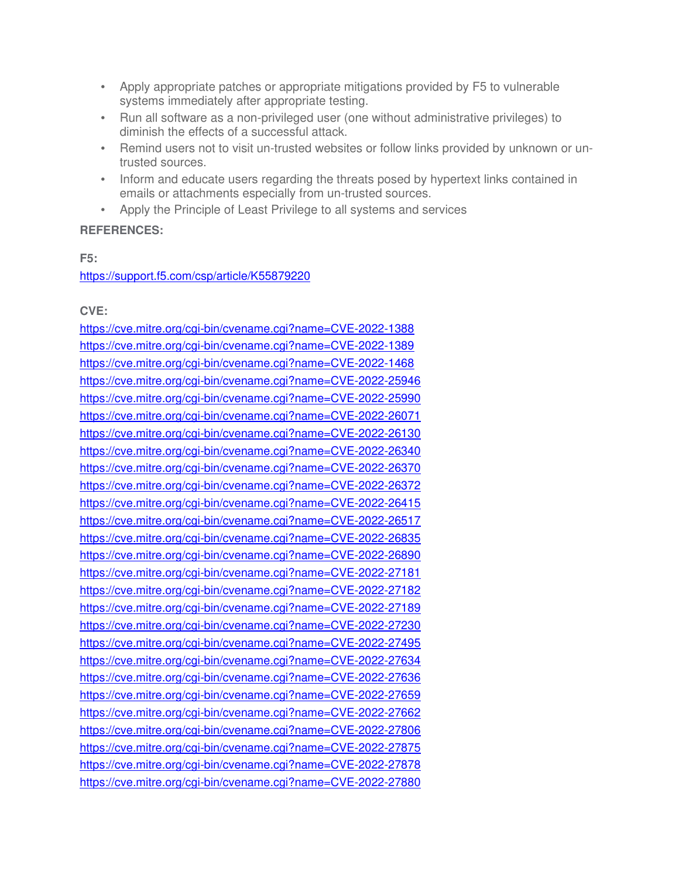- Apply appropriate patches or appropriate mitigations provided by F5 to vulnerable systems immediately after appropriate testing.
- Run all software as a non-privileged user (one without administrative privileges) to diminish the effects of a successful attack.
- Remind users not to visit un-trusted websites or follow links provided by unknown or untrusted sources.
- Inform and educate users regarding the threats posed by hypertext links contained in emails or attachments especially from un-trusted sources.
- Apply the Principle of Least Privilege to all systems and services

# **REFERENCES:**

**F5:**

https://support.f5.com/csp/article/K55879220

## **CVE:**

https://cve.mitre.org/cgi-bin/cvename.cgi?name=CVE-2022-1388 https://cve.mitre.org/cgi-bin/cvename.cgi?name=CVE-2022-1389 https://cve.mitre.org/cgi-bin/cvename.cgi?name=CVE-2022-1468 https://cve.mitre.org/cgi-bin/cvename.cgi?name=CVE-2022-25946 https://cve.mitre.org/cgi-bin/cvename.cgi?name=CVE-2022-25990 https://cve.mitre.org/cgi-bin/cvename.cgi?name=CVE-2022-26071 https://cve.mitre.org/cgi-bin/cvename.cgi?name=CVE-2022-26130 https://cve.mitre.org/cgi-bin/cvename.cgi?name=CVE-2022-26340 https://cve.mitre.org/cgi-bin/cvename.cgi?name=CVE-2022-26370 https://cve.mitre.org/cgi-bin/cvename.cgi?name=CVE-2022-26372 https://cve.mitre.org/cgi-bin/cvename.cgi?name=CVE-2022-26415 https://cve.mitre.org/cgi-bin/cvename.cgi?name=CVE-2022-26517 https://cve.mitre.org/cgi-bin/cvename.cgi?name=CVE-2022-26835 https://cve.mitre.org/cgi-bin/cvename.cgi?name=CVE-2022-26890 https://cve.mitre.org/cgi-bin/cvename.cgi?name=CVE-2022-27181 https://cve.mitre.org/cgi-bin/cvename.cgi?name=CVE-2022-27182 https://cve.mitre.org/cgi-bin/cvename.cgi?name=CVE-2022-27189 https://cve.mitre.org/cgi-bin/cvename.cgi?name=CVE-2022-27230 https://cve.mitre.org/cgi-bin/cvename.cgi?name=CVE-2022-27495 https://cve.mitre.org/cgi-bin/cvename.cgi?name=CVE-2022-27634 https://cve.mitre.org/cgi-bin/cvename.cgi?name=CVE-2022-27636 https://cve.mitre.org/cgi-bin/cvename.cgi?name=CVE-2022-27659 https://cve.mitre.org/cgi-bin/cvename.cgi?name=CVE-2022-27662 https://cve.mitre.org/cgi-bin/cvename.cgi?name=CVE-2022-27806 https://cve.mitre.org/cgi-bin/cvename.cgi?name=CVE-2022-27875 https://cve.mitre.org/cgi-bin/cvename.cgi?name=CVE-2022-27878 https://cve.mitre.org/cgi-bin/cvename.cgi?name=CVE-2022-27880